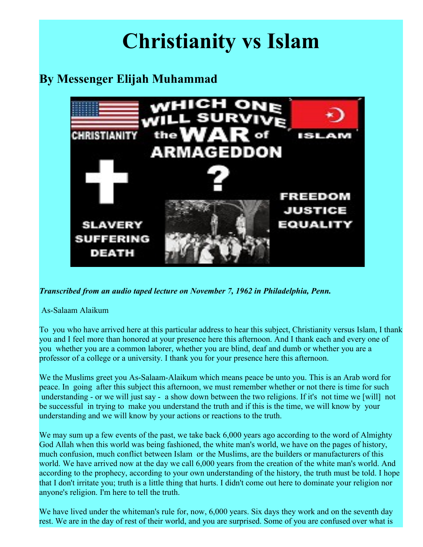## **Christianity vs Islam**

## **By Messenger Elijah Muhammad**



*Transcribed from an audio taped lecture on November 7, 1962 in Philadelphia, Penn.*

## As-Salaam Alaikum

To you who have arrived here at this particular address to hear this subject, Christianity versus Islam, I thank you and I feel more than honored at your presence here this afternoon. And I thank each and every one of you whether you are a common laborer, whether you are blind, deaf and dumb or whether you are a professor of a college or a university. I thank you for your presence here this afternoon.

We the Muslims greet you As-Salaam-Alaikum which means peace be unto you. This is an Arab word for peace. In going after this subject this afternoon, we must remember whether or not there is time for such understanding - or we will just say - a show down between the two religions. If it's not time we [will] not be successful in trying to make you understand the truth and if this is the time, we will know by your understanding and we will know by your actions or reactions to the truth.

We may sum up a few events of the past, we take back 6,000 years ago according to the word of Almighty God Allah when this world was being fashioned, the white man's world, we have on the pages of history, much confusion, much conflict between Islam or the Muslims, are the builders or manufacturers of this world. We have arrived now at the day we call 6,000 years from the creation of the white man's world. And according to the prophecy, according to your own understanding of the history, the truth must be told. I hope that I don't irritate you; truth is a little thing that hurts. I didn't come out here to dominate your religion nor anyone's religion. I'm here to tell the truth.

We have lived under the whiteman's rule for, now, 6,000 years. Six days they work and on the seventh day rest. We are in the day of rest of their world, and you are surprised. Some of you are confused over what is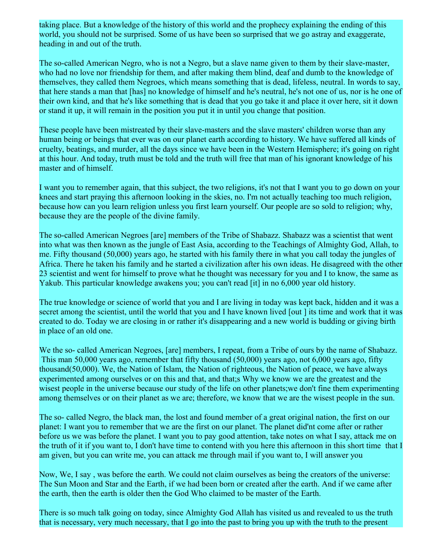taking place. But a knowledge of the history of this world and the prophecy explaining the ending of this world, you should not be surprised. Some of us have been so surprised that we go astray and exaggerate, heading in and out of the truth.

The so-called American Negro, who is not a Negro, but a slave name given to them by their slave-master, who had no love nor friendship for them, and after making them blind, deaf and dumb to the knowledge of themselves, they called them Negroes, which means something that is dead, lifeless, neutral. In words to say, that here stands a man that [has] no knowledge of himself and he's neutral, he's not one of us, nor is he one of their own kind, and that he's like something that is dead that you go take it and place it over here, sit it down or stand it up, it will remain in the position you put it in until you change that position.

These people have been mistreated by their slave-masters and the slave masters' children worse than any human being or beings that ever was on our planet earth according to history. We have suffered all kinds of cruelty, beatings, and murder, all the days since we have been in the Western Hemisphere; it's going on right at this hour. And today, truth must be told and the truth will free that man of his ignorant knowledge of his master and of himself.

I want you to remember again, that this subject, the two religions, it's not that I want you to go down on your knees and start praying this afternoon looking in the skies, no. I'm not actually teaching too much religion, because how can you learn religion unless you first learn yourself. Our people are so sold to religion; why, because they are the people of the divine family.

The so-called American Negroes [are] members of the Tribe of Shabazz. Shabazz was a scientist that went into what was then known as the jungle of East Asia, according to the Teachings of Almighty God, Allah, to me. Fifty thousand (50,000) years ago, he started with his family there in what you call today the jungles of Africa. There he taken his family and he started a civilization after his own ideas. He disagreed with the other 23 scientist and went for himself to prove what he thought was necessary for you and I to know, the same as Yakub. This particular knowledge awakens you; you can't read [it] in no 6,000 year old history.

The true knowledge or science of world that you and I are living in today was kept back, hidden and it was a secret among the scientist, until the world that you and I have known lived [out ] its time and work that it was created to do. Today we are closing in or rather it's disappearing and a new world is budding or giving birth in place of an old one.

We the so- called American Negroes, [are] members, I repeat, from a Tribe of ours by the name of Shabazz. This man 50,000 years ago, remember that fifty thousand (50,000) years ago, not 6,000 years ago, fifty thousand(50,000). We, the Nation of Islam, the Nation of righteous, the Nation of peace, we have always experimented among ourselves or on this and that, and that;s Why we know we are the greatest and the wisest people in the universe because our study of the life on other planets;we don't fine them experimenting among themselves or on their planet as we are; therefore, we know that we are the wisest people in the sun.

The so- called Negro, the black man, the lost and found member of a great original nation, the first on our planet: I want you to remember that we are the first on our planet. The planet did'nt come after or rather before us we was before the planet. I want you to pay good attention, take notes on what I say, attack me on the truth of it if you want to, I don't have time to contend with you here this afternoon in this short time that I am given, but you can write me, you can attack me through mail if you want to, I will answer you

Now, We, I say , was before the earth. We could not claim ourselves as being the creators of the universe: The Sun Moon and Star and the Earth, if we had been born or created after the earth. And if we came after the earth, then the earth is older then the God Who claimed to be master of the Earth.

There is so much talk going on today, since Almighty God Allah has visited us and revealed to us the truth that is necessary, very much necessary, that I go into the past to bring you up with the truth to the present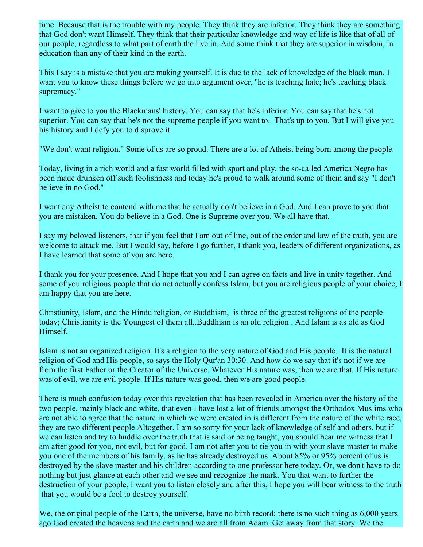time. Because that is the trouble with my people. They think they are inferior. They think they are something that God don't want Himself. They think that their particular knowledge and way of life is like that of all of our people, regardless to what part of earth the live in. And some think that they are superior in wisdom, in education than any of their kind in the earth.

This I say is a mistake that you are making yourself. It is due to the lack of knowledge of the black man. I want you to know these things before we go into argument over, ''he is teaching hate; he's teaching black supremacy."

I want to give to you the Blackmans' history. You can say that he's inferior. You can say that he's not superior. You can say that he's not the supreme people if you want to. That's up to you. But I will give you his history and I defy you to disprove it.

"We don't want religion." Some of us are so proud. There are a lot of Atheist being born among the people.

Today, living in a rich world and a fast world filled with sport and play, the so-called America Negro has been made drunken off such foolishness and today he's proud to walk around some of them and say "I don't believe in no God."

I want any Atheist to contend with me that he actually don't believe in a God. And I can prove to you that you are mistaken. You do believe in a God. One is Supreme over you. We all have that.

I say my beloved listeners, that if you feel that I am out of line, out of the order and law of the truth, you are welcome to attack me. But I would say, before I go further, I thank you, leaders of different organizations, as I have learned that some of you are here.

I thank you for your presence. And I hope that you and I can agree on facts and live in unity together. And some of you religious people that do not actually confess Islam, but you are religious people of your choice, I am happy that you are here.

Christianity, Islam, and the Hindu religion, or Buddhism, is three of the greatest religions of the people today; Christianity is the Youngest of them all..Buddhism is an old religion . And Islam is as old as God Himself.

Islam is not an organized religion. It's a religion to the very nature of God and His people. It is the natural religion of God and His people, so says the Holy Qur'an 30:30. And how do we say that it's not if we are from the first Father or the Creator of the Universe. Whatever His nature was, then we are that. If His nature was of evil, we are evil people. If His nature was good, then we are good people.

There is much confusion today over this revelation that has been revealed in America over the history of the two people, mainly black and white, that even I have lost a lot of friends amongst the Orthodox Muslims who are not able to agree that the nature in which we were created in is different from the nature of the white race, they are two different people Altogether. I am so sorry for your lack of knowledge of self and others, but if we can listen and try to huddle over the truth that is said or being taught, you should bear me witness that I am after good for you, not evil, but for good. I am not after you to tie you in with your slave-master to make you one of the members of his family, as he has already destroyed us. About 85% or 95% percent of us is destroyed by the slave master and his children according to one professor here today. Or, we don't have to do nothing but just glance at each other and we see and recognize the mark. You that want to further the destruction of your people, I want you to listen closely and after this, I hope you will bear witness to the truth that you would be a fool to destroy yourself.

We, the original people of the Earth, the universe, have no birth record; there is no such thing as 6,000 years ago God created the heavens and the earth and we are all from Adam. Get away from that story. We the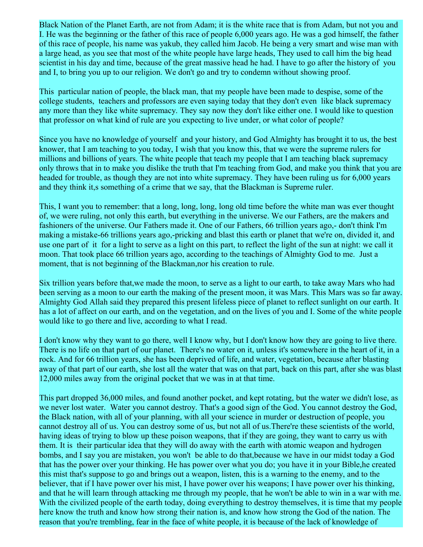Black Nation of the Planet Earth, are not from Adam; it is the white race that is from Adam, but not you and I. He was the beginning or the father of this race of people 6,000 years ago. He was a god himself, the father of this race of people, his name was yakub, they called him Jacob. He being a very smart and wise man with a large head, as you see that most of the white people have large heads, They used to call him the big head scientist in his day and time, because of the great massive head he had. I have to go after the history of you and I, to bring you up to our religion. We don't go and try to condemn without showing proof.

This particular nation of people, the black man, that my people have been made to despise, some of the college students, teachers and professors are even saying today that they don't even like black supremacy any more than they like white supremacy. They say now they don't like either one. I would like to question that professor on what kind of rule are you expecting to live under, or what color of people?

Since you have no knowledge of yourself and your history, and God Almighty has brought it to us, the best knower, that I am teaching to you today, I wish that you know this, that we were the supreme rulers for millions and billions of years. The white people that teach my people that I am teaching black supremacy only throws that in to make you dislike the truth that I'm teaching from God, and make you think that you are headed for trouble, as though they are not into white supremacy. They have been ruling us for 6,000 years and they think it,s something of a crime that we say, that the Blackman is Supreme ruler.

This, I want you to remember: that a long, long, long, long old time before the white man was ever thought of, we were ruling, not only this earth, but everything in the universe. We our Fathers, are the makers and fashioners of the universe. Our Fathers made it. One of our Fathers, 66 trillion years ago,- don't think I'm making a mistake-66 trillions years ago,-pricking and blast this earth or planet that we're on, divided it, and use one part of it for a light to serve as a light on this part, to reflect the light of the sun at night: we call it moon. That took place 66 trillion years ago, according to the teachings of Almighty God to me. Just a moment, that is not beginning of the Blackman,nor his creation to rule.

Six trillion years before that,we made the moon, to serve as a light to our earth, to take away Mars who had been serving as a moon to our earth the making of the present moon, it was Mars. This Mars was so far away. Almighty God Allah said they prepared this present lifeless piece of planet to reflect sunlight on our earth. It has a lot of affect on our earth, and on the vegetation, and on the lives of you and I. Some of the white people would like to go there and live, according to what I read.

I don't know why they want to go there, well I know why, but I don't know how they are going to live there. There is no life on that part of our planet. There's no water on it, unless it's somewhere in the heart of it, in a rock. And for 66 trillion years, she has been deprived of life, and water, vegetation, because after blasting away of that part of our earth, she lost all the water that was on that part, back on this part, after she was blast 12,000 miles away from the original pocket that we was in at that time.

This part dropped 36,000 miles, and found another pocket, and kept rotating, but the water we didn't lose, as we never lost water. Water you cannot destroy. That's a good sign of the God. You cannot destroy the God, the Black nation, with all of your planning, with all your science in murder or destruction of people, you cannot destroy all of us. You can destroy some of us, but not all of us.There're these scientists of the world, having ideas of trying to blow up these poison weapons, that if they are going, they want to carry us with them. It is their particular idea that they will do away with the earth with atomic weapon and hydrogen bombs, and I say you are mistaken, you won't be able to do that,because we have in our midst today a God that has the power over your thinking. He has power over what you do; you have it in your Bible,he created this mist that's suppose to go and brings out a weapon, listen, this is a warning to the enemy, and to the believer, that if I have power over his mist, I have power over his weapons; I have power over his thinking, and that he will learn through attacking me through my people, that he won't be able to win in a war with me. With the civilized people of the earth today, doing everything to destroy themselves, it is time that my people here know the truth and know how strong their nation is, and know how strong the God of the nation. The reason that you're trembling, fear in the face of white people, it is because of the lack of knowledge of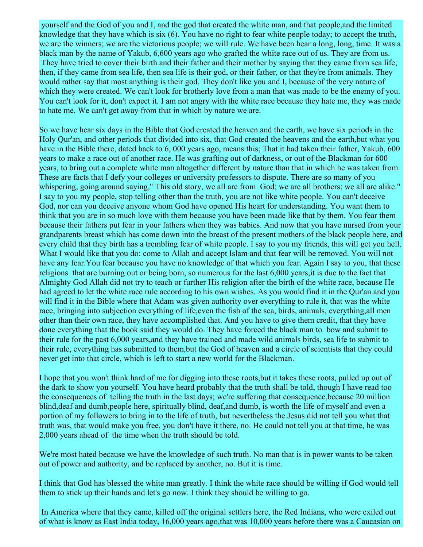yourself and the God of you and I, and the god that created the white man, and that people,and the limited knowledge that they have which is six (6). You have no right to fear white people today; to accept the truth, we are the winners; we are the victorious people; we will rule. We have been hear a long, long, time. It was a black man by the name of Yakub, 6,600 years ago who grafted the white race out of us. They are from us. They have tried to cover their birth and their father and their mother by saying that they came from sea life; then, if they came from sea life, then sea life is their god, or their father, or that they're from animals. They would rather say that most anything is their god. They don't like you and I, because of the very nature of which they were created. We can't look for brotherly love from a man that was made to be the enemy of you. You can't look for it, don't expect it. I am not angry with the white race because they hate me, they was made to hate me. We can't get away from that in which by nature we are.

So we have hear six days in the Bible that God created the heaven and the earth, we have six periods in the Holy Qur'an, and other periods that divided into six, that God created the heavens and the earth,but what you have in the Bible there, dated back to 6, 000 years ago, means this; That it had taken their father, Yakub, 600 years to make a race out of another race. He was grafting out of darkness, or out of the Blackman for 600 years, to bring out a complete white man altogether different by nature than that in which he was taken from. These are facts that I defy your colleges or university professors to dispute. There are so many of you whispering, going around saying," This old story, we all are from God; we are all brothers; we all are alike." I say to you my people, stop telling other than the truth, you are not like white people. You can't deceive God, nor can you deceive anyone whom God have opened His heart for understanding. You want them to think that you are in so much love with them because you have been made like that by them. You fear them because their fathers put fear in your fathers when they was babies. And now that you have nursed from your grandparents breast which has come down into the breast of the present mothers of the black people here, and every child that they birth has a trembling fear of white people. I say to you my friends, this will get you hell. What I would like that you do: come to Allah and accept Islam and that fear will be removed. You will not have any fear.You fear because you have no knowledge of that which you fear. Again I say to you, that these religions that are burning out or being born, so numerous for the last 6,000 years,it is due to the fact that Almighty God Allah did not try to teach or further His religion after the birth of the white race, because He had agreed to let the white race rule according to his own wishes. As you would find it in the Qur'an and you will find it in the Bible where that Adam was given authority over everything to rule it, that was the white race, bringing into subjection everything of life,even the fish of the sea, birds, animals, everything,all men other than their own race, they have accomplished that. And you have to give them credit, that they have done everything that the book said they would do. They have forced the black man to bow and submit to their rule for the past 6,000 years,and they have trained and made wild animals birds, sea life to submit to their rule, everything has submitted to them,but the God of heaven and a circle of scientists that they could never get into that circle, which is left to start a new world for the Blackman.

I hope that you won't think hard of me for digging into these roots,but it takes these roots, pulled up out of the dark to show you yourself. You have heard probably that the truth shall be told, though I have read too the consequences of telling the truth in the last days; we're suffering that consequence,because 20 million blind,deaf and dumb,people here, spiritually blind, deaf,and dumb, is worth the life of myself and even a portion of my followers to bring in to the life of truth, but nevertheless the Jesus did not tell you what that truth was, that would make you free, you don't have it there, no. He could not tell you at that time, he was 2,000 years ahead of the time when the truth should be told.

We're most hated because we have the knowledge of such truth. No man that is in power wants to be taken out of power and authority, and be replaced by another, no. But it is time.

I think that God has blessed the white man greatly. I think the white race should be willing if God would tell them to stick up their hands and let's go now. I think they should be willing to go.

 In America where that they came, killed off the original settlers here, the Red Indians, who were exiled out of what is know as East India today, 16,000 years ago,that was 10,000 years before there was a Caucasian on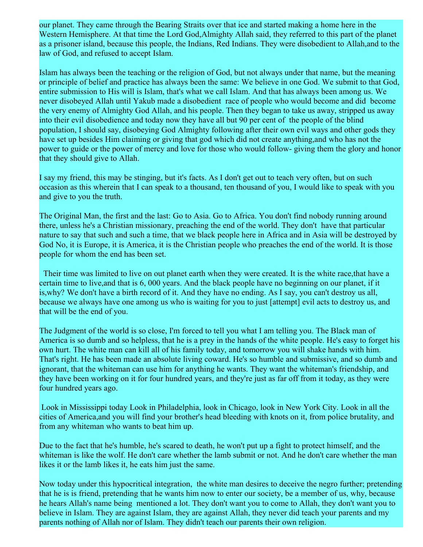our planet. They came through the Bearing Straits over that ice and started making a home here in the Western Hemisphere. At that time the Lord God,Almighty Allah said, they referred to this part of the planet as a prisoner island, because this people, the Indians, Red Indians. They were disobedient to Allah,and to the law of God, and refused to accept Islam.

Islam has always been the teaching or the religion of God, but not always under that name, but the meaning or principle of belief and practice has always been the same: We believe in one God. We submit to that God, entire submission to His will is Islam, that's what we call Islam. And that has always been among us. We never disobeyed Allah until Yakub made a disobedient race of people who would become and did become the very enemy of Almighty God Allah, and his people. Then they began to take us away, stripped us away into their evil disobedience and today now they have all but 90 per cent of the people of the blind population, I should say, disobeying God Almighty following after their own evil ways and other gods they have set up besides Him claiming or giving that god which did not create anything,and who has not the power to guide or the power of mercy and love for those who would follow- giving them the glory and honor that they should give to Allah.

I say my friend, this may be stinging, but it's facts. As I don't get out to teach very often, but on such occasion as this wherein that I can speak to a thousand, ten thousand of you, I would like to speak with you and give to you the truth.

The Original Man, the first and the last: Go to Asia. Go to Africa. You don't find nobody running around there, unless he's a Christian missionary, preaching the end of the world. They don't have that particular nature to say that such and such a time, that we black people here in Africa and in Asia will be destroyed by God No, it is Europe, it is America, it is the Christian people who preaches the end of the world. It is those people for whom the end has been set.

 Their time was limited to live on out planet earth when they were created. It is the white race,that have a certain time to live,and that is 6, 000 years. And the black people have no beginning on our planet, if it is,why? We don't have a birth record of it. And they have no ending. As I say, you can't destroy us all, because we always have one among us who is waiting for you to just [attempt] evil acts to destroy us, and that will be the end of you.

The Judgment of the world is so close, I'm forced to tell you what I am telling you. The Black man of America is so dumb and so helpless, that he is a prey in the hands of the white people. He's easy to forget his own hurt. The white man can kill all of his family today, and tomorrow you will shake hands with him. That's right. He has been made an absolute living coward. He's so humble and submissive, and so dumb and ignorant, that the whiteman can use him for anything he wants. They want the whiteman's friendship, and they have been working on it for four hundred years, and they're just as far off from it today, as they were four hundred years ago.

 Look in Mississippi today Look in Philadelphia, look in Chicago, look in New York City. Look in all the cities of America,and you will find your brother's head bleeding with knots on it, from police brutality, and from any whiteman who wants to beat him up.

Due to the fact that he's humble, he's scared to death, he won't put up a fight to protect himself, and the whiteman is like the wolf. He don't care whether the lamb submit or not. And he don't care whether the man likes it or the lamb likes it, he eats him just the same.

Now today under this hypocritical integration, the white man desires to deceive the negro further; pretending that he is is friend, pretending that he wants him now to enter our society, be a member of us, why, because he hears Allah's name being mentioned a lot. They don't want you to come to Allah, they don't want you to believe in Islam. They are against Islam, they are against Allah, they never did teach your parents and my parents nothing of Allah nor of Islam. They didn't teach our parents their own religion.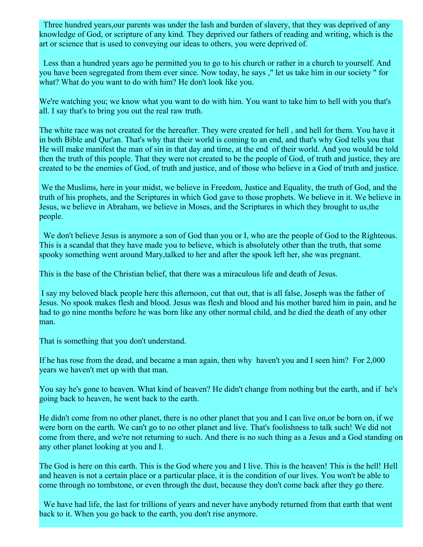Three hundred years,our parents was under the lash and burden of slavery, that they was deprived of any knowledge of God, or scripture of any kind. They deprived our fathers of reading and writing, which is the art or science that is used to conveying our ideas to others, you were deprived of.

 Less than a hundred years ago he permitted you to go to his church or rather in a church to yourself. And you have been segregated from them ever since. Now today, he says ," let us take him in our society " for what? What do you want to do with him? He don't look like you.

We're watching you; we know what you want to do with him. You want to take him to hell with you that's all. I say that's to bring you out the real raw truth.

The white race was not created for the hereafter. They were created for hell , and hell for them. You have it in both Bible and Qur'an. That's why that their world is coming to an end, and that's why God tells you that He will make manifest the man of sin in that day and time, at the end of their world. And you would be told then the truth of this people. That they were not created to be the people of God, of truth and justice, they are created to be the enemies of God, of truth and justice, and of those who believe in a God of truth and justice.

 We the Muslims, here in your midst, we believe in Freedom, Justice and Equality, the truth of God, and the truth of his prophets, and the Scriptures in which God gave to those prophets. We believe in it. We believe in Jesus, we believe in Abraham, we believe in Moses, and the Scriptures in which they brought to us,the people.

We don't believe Jesus is anymore a son of God than you or I, who are the people of God to the Righteous. This is a scandal that they have made you to believe, which is absolutely other than the truth, that some spooky something went around Mary,talked to her and after the spook left her, she was pregnant.

This is the base of the Christian belief, that there was a miraculous life and death of Jesus.

 I say my beloved black people here this afternoon, cut that out, that is all false, Joseph was the father of Jesus. No spook makes flesh and blood. Jesus was flesh and blood and his mother bared him in pain, and he had to go nine months before he was born like any other normal child, and he died the death of any other man.

That is something that you don't understand.

If he has rose from the dead, and became a man again, then why haven't you and I seen him? For 2,000 years we haven't met up with that man.

You say he's gone to heaven. What kind of heaven? He didn't change from nothing but the earth, and if he's going back to heaven, he went back to the earth.

He didn't come from no other planet, there is no other planet that you and I can live on,or be born on, if we were born on the earth. We can't go to no other planet and live. That's foolishness to talk such! We did not come from there, and we're not returning to such. And there is no such thing as a Jesus and a God standing on any other planet looking at you and I.

The God is here on this earth. This is the God where you and I live. This is the heaven! This is the hell! Hell and heaven is not a certain place or a particular place, it is the condition of our lives. You won't be able to come through no tombstone, or even through the dust, because they don't come back after they go there.

We have had life, the last for trillions of years and never have anybody returned from that earth that went back to it. When you go back to the earth, you don't rise anymore.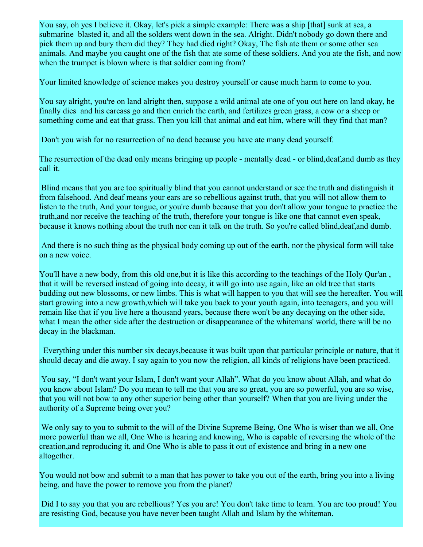You say, oh yes I believe it. Okay, let's pick a simple example: There was a ship [that] sunk at sea, a submarine blasted it, and all the solders went down in the sea. Alright. Didn't nobody go down there and pick them up and bury them did they? They had died right? Okay, The fish ate them or some other sea animals. And maybe you caught one of the fish that ate some of these soldiers. And you ate the fish, and now when the trumpet is blown where is that soldier coming from?

Your limited knowledge of science makes you destroy yourself or cause much harm to come to you.

You say alright, you're on land alright then, suppose a wild animal ate one of you out here on land okay, he finally dies and his carcass go and then enrich the earth, and fertilizes green grass, a cow or a sheep or something come and eat that grass. Then you kill that animal and eat him, where will they find that man?

Don't you wish for no resurrection of no dead because you have ate many dead yourself.

The resurrection of the dead only means bringing up people - mentally dead - or blind,deaf,and dumb as they call it.

 Blind means that you are too spiritually blind that you cannot understand or see the truth and distinguish it from falsehood. And deaf means your ears are so rebellious against truth, that you will not allow them to listen to the truth, And your tongue, or you're dumb because that you don't allow your tongue to practice the truth,and nor receive the teaching of the truth, therefore your tongue is like one that cannot even speak, because it knows nothing about the truth nor can it talk on the truth. So you're called blind,deaf,and dumb.

 And there is no such thing as the physical body coming up out of the earth, nor the physical form will take on a new voice.

You'll have a new body, from this old one,but it is like this according to the teachings of the Holy Qur'an , that it will be reversed instead of going into decay, it will go into use again, like an old tree that starts budding out new blossoms, or new limbs. This is what will happen to you that will see the hereafter. You will start growing into a new growth,which will take you back to your youth again, into teenagers, and you will remain like that if you live here a thousand years, because there won't be any decaying on the other side, what I mean the other side after the destruction or disappearance of the whitemans' world, there will be no decay in the blackman.

 Everything under this number six decays,because it was built upon that particular principle or nature, that it should decay and die away. I say again to you now the religion, all kinds of religions have been practiced.

 You say, "I don't want your Islam, I don't want your Allah". What do you know about Allah, and what do you know about Islam? Do you mean to tell me that you are so great, you are so powerful, you are so wise, that you will not bow to any other superior being other than yourself? When that you are living under the authority of a Supreme being over you?

 We only say to you to submit to the will of the Divine Supreme Being, One Who is wiser than we all, One more powerful than we all, One Who is hearing and knowing, Who is capable of reversing the whole of the creation,and reproducing it, and One Who is able to pass it out of existence and bring in a new one altogether.

You would not bow and submit to a man that has power to take you out of the earth, bring you into a living being, and have the power to remove you from the planet?

 Did I to say you that you are rebellious? Yes you are! You don't take time to learn. You are too proud! You are resisting God, because you have never been taught Allah and Islam by the whiteman.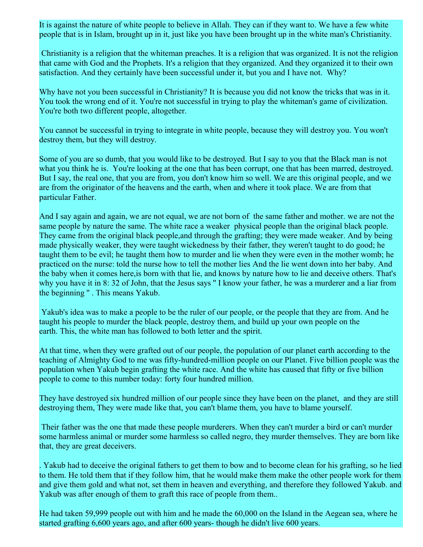It is against the nature of white people to believe in Allah. They can if they want to. We have a few white people that is in Islam, brought up in it, just like you have been brought up in the white man's Christianity.

 Christianity is a religion that the whiteman preaches. It is a religion that was organized. It is not the religion that came with God and the Prophets. It's a religion that they organized. And they organized it to their own satisfaction. And they certainly have been successful under it, but you and I have not. Why?

Why have not you been successful in Christianity? It is because you did not know the tricks that was in it. You took the wrong end of it. You're not successful in trying to play the whiteman's game of civilization. You're both two different people, altogether.

You cannot be successful in trying to integrate in white people, because they will destroy you. You won't destroy them, but they will destroy.

Some of you are so dumb, that you would like to be destroyed. But I say to you that the Black man is not what you think he is. You're looking at the one that has been corrupt, one that has been marred, destroyed. But I say, the real one, that you are from, you don't know him so well. We are this original people, and we are from the originator of the heavens and the earth, when and where it took place. We are from that particular Father.

And I say again and again, we are not equal, we are not born of the same father and mother. we are not the same people by nature the same. The white race a weaker physical people than the original black people. They came from the original black people,and through the grafting; they were made weaker. And by being made physically weaker, they were taught wickedness by their father, they weren't taught to do good; he taught them to be evil; he taught them how to murder and lie when they were even in the mother womb; he practiced on the nurse: told the nurse how to tell the mother lies And the lie went down into her baby. And the baby when it comes here,is born with that lie, and knows by nature how to lie and deceive others. That's why you have it in 8:32 of John, that the Jesus says "I know your father, he was a murderer and a liar from the beginning '' . This means Yakub.

Yakub's idea was to make a people to be the ruler of our people, or the people that they are from. And he taught his people to murder the black people, destroy them, and build up your own people on the earth. This, the white man has followed to both letter and the spirit.

At that time, when they were grafted out of our people, the population of our planet earth according to the teaching of Almighty God to me was fifty-hundred-million people on our Planet. Five billion people was the population when Yakub begin grafting the white race. And the white has caused that fifty or five billion people to come to this number today: forty four hundred million.

They have destroyed six hundred million of our people since they have been on the planet, and they are still destroying them, They were made like that, you can't blame them, you have to blame yourself.

 Their father was the one that made these people murderers. When they can't murder a bird or can't murder some harmless animal or murder some harmless so called negro, they murder themselves. They are born like that, they are great deceivers.

. Yakub had to deceive the original fathers to get them to bow and to become clean for his grafting, so he lied to them. He told them that if they follow him, that he would make them make the other people work for them and give them gold and what not, set them in heaven and everything, and therefore they followed Yakub. and Yakub was after enough of them to graft this race of people from them..

He had taken 59,999 people out with him and he made the 60,000 on the Island in the Aegean sea, where he started grafting 6,600 years ago, and after 600 years- though he didn't live 600 years.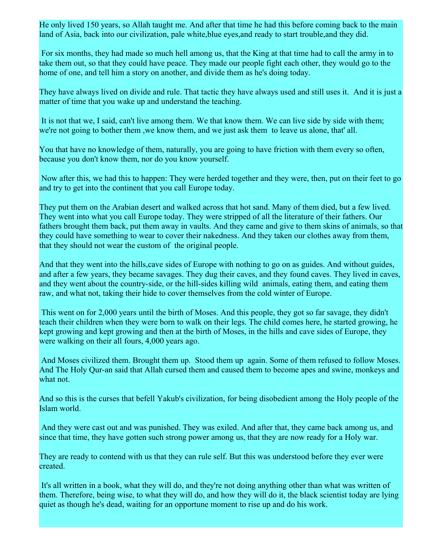He only lived 150 years, so Allah taught me. And after that time he had this before coming back to the main land of Asia, back into our civilization, pale white,blue eyes,and ready to start trouble,and they did.

 For six months, they had made so much hell among us, that the King at that time had to call the army in to take them out, so that they could have peace. They made our people fight each other, they would go to the home of one, and tell him a story on another, and divide them as he's doing today.

They have always lived on divide and rule. That tactic they have always used and still uses it. And it is just a matter of time that you wake up and understand the teaching.

 It is not that we, I said, can't live among them. We that know them. We can live side by side with them; we're not going to bother them ,we know them, and we just ask them to leave us alone, that' all.

You that have no knowledge of them, naturally, you are going to have friction with them every so often, because you don't know them, nor do you know yourself.

 Now after this, we had this to happen: They were herded together and they were, then, put on their feet to go and try to get into the continent that you call Europe today.

They put them on the Arabian desert and walked across that hot sand. Many of them died, but a few lived. They went into what you call Europe today. They were stripped of all the literature of their fathers. Our fathers brought them back, put them away in vaults. And they came and give to them skins of animals, so that they could have something to wear to cover their nakedness. And they taken our clothes away from them, that they should not wear the custom of the original people.

And that they went into the hills,cave sides of Europe with nothing to go on as guides. And without guides, and after a few years, they became savages. They dug their caves, and they found caves. They lived in caves, and they went about the country-side, or the hill-sides killing wild animals, eating them, and eating them raw, and what not, taking their hide to cover themselves from the cold winter of Europe.

 This went on for 2,000 years until the birth of Moses. And this people, they got so far savage, they didn't teach their children when they were born to walk on their legs. The child comes here, he started growing, he kept growing and kept growing and then at the birth of Moses, in the hills and cave sides of Europe, they were walking on their all fours, 4,000 years ago.

 And Moses civilized them. Brought them up. Stood them up again. Some of them refused to follow Moses. And The Holy Qur-an said that Allah cursed them and caused them to become apes and swine, monkeys and what not.

And so this is the curses that befell Yakub's civilization, for being disobedient among the Holy people of the Islam world.

 And they were cast out and was punished. They was exiled. And after that, they came back among us, and since that time, they have gotten such strong power among us, that they are now ready for a Holy war.

They are ready to contend with us that they can rule self. But this was understood before they ever were created.

 It's all written in a book, what they will do, and they're not doing anything other than what was written of them. Therefore, being wise, to what they will do, and how they will do it, the black scientist today are lying quiet as though he's dead, waiting for an opportune moment to rise up and do his work.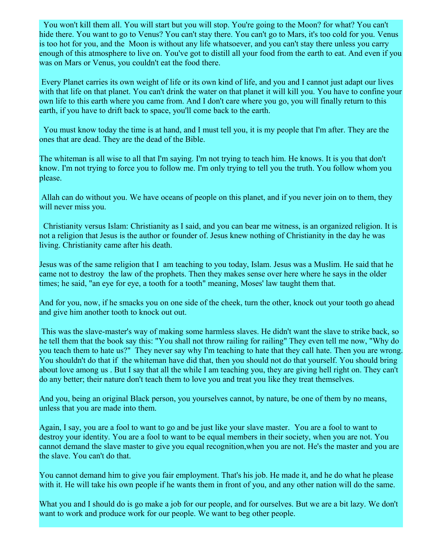You won't kill them all. You will start but you will stop. You're going to the Moon? for what? You can't hide there. You want to go to Venus? You can't stay there. You can't go to Mars, it's too cold for you. Venus is too hot for you, and the Moon is without any life whatsoever, and you can't stay there unless you carry enough of this atmosphere to live on. You've got to distill all your food from the earth to eat. And even if you was on Mars or Venus, you couldn't eat the food there.

 Every Planet carries its own weight of life or its own kind of life, and you and I cannot just adapt our lives with that life on that planet. You can't drink the water on that planet it will kill you. You have to confine your own life to this earth where you came from. And I don't care where you go, you will finally return to this earth, if you have to drift back to space, you'll come back to the earth.

 You must know today the time is at hand, and I must tell you, it is my people that I'm after. They are the ones that are dead. They are the dead of the Bible.

The whiteman is all wise to all that I'm saying. I'm not trying to teach him. He knows. It is you that don't know. I'm not trying to force you to follow me. I'm only trying to tell you the truth. You follow whom you please.

 Allah can do without you. We have oceans of people on this planet, and if you never join on to them, they will never miss you.

Christianity versus Islam: Christianity as I said, and you can bear me witness, is an organized religion. It is not a religion that Jesus is the author or founder of. Jesus knew nothing of Christianity in the day he was living. Christianity came after his death.

Jesus was of the same religion that I am teaching to you today, Islam. Jesus was a Muslim. He said that he came not to destroy the law of the prophets. Then they makes sense over here where he says in the older times; he said, "an eye for eye, a tooth for a tooth" meaning, Moses' law taught them that.

And for you, now, if he smacks you on one side of the cheek, turn the other, knock out your tooth go ahead and give him another tooth to knock out out.

 This was the slave-master's way of making some harmless slaves. He didn't want the slave to strike back, so he tell them that the book say this: "You shall not throw railing for railing" They even tell me now, "Why do you teach them to hate us?" They never say why I'm teaching to hate that they call hate. Then you are wrong. You shouldn't do that if the whiteman have did that, then you should not do that yourself. You should bring about love among us . But I say that all the while I am teaching you, they are giving hell right on. They can't do any better; their nature don't teach them to love you and treat you like they treat themselves.

And you, being an original Black person, you yourselves cannot, by nature, be one of them by no means, unless that you are made into them.

Again, I say, you are a fool to want to go and be just like your slave master. You are a fool to want to destroy your identity. You are a fool to want to be equal members in their society, when you are not. You cannot demand the slave master to give you equal recognition,when you are not. He's the master and you are the slave. You can't do that.

You cannot demand him to give you fair employment. That's his job. He made it, and he do what he please with it. He will take his own people if he wants them in front of you, and any other nation will do the same.

What you and I should do is go make a job for our people, and for ourselves. But we are a bit lazy. We don't want to work and produce work for our people. We want to beg other people.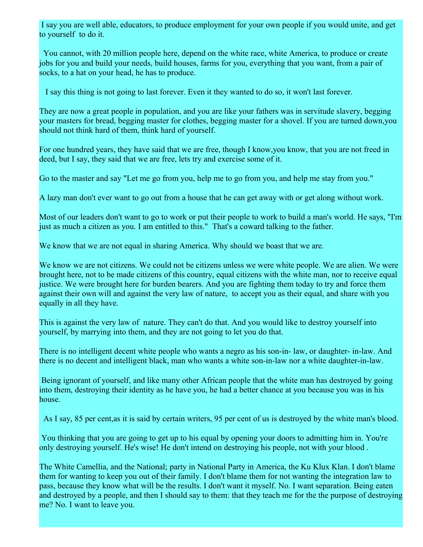I say you are well able, educators, to produce employment for your own people if you would unite, and get to yourself to do it.

 You cannot, with 20 million people here, depend on the white race, white America, to produce or create jobs for you and build your needs, build houses, farms for you, everything that you want, from a pair of socks, to a hat on your head, he has to produce.

I say this thing is not going to last forever. Even it they wanted to do so, it won't last forever.

They are now a great people in population, and you are like your fathers was in servitude slavery, begging your masters for bread, begging master for clothes, begging master for a shovel. If you are turned down,you should not think hard of them, think hard of yourself.

For one hundred years, they have said that we are free, though I know,you know, that you are not freed in deed, but I say, they said that we are free, lets try and exercise some of it.

Go to the master and say "Let me go from you, help me to go from you, and help me stay from you."

A lazy man don't ever want to go out from a house that he can get away with or get along without work.

Most of our leaders don't want to go to work or put their people to work to build a man's world. He says, "I'm just as much a citizen as you. I am entitled to this." That's a coward talking to the father.

We know that we are not equal in sharing America. Why should we boast that we are.

We know we are not citizens. We could not be citizens unless we were white people. We are alien. We were brought here, not to be made citizens of this country, equal citizens with the white man, nor to receive equal justice. We were brought here for burden bearers. And you are fighting them today to try and force them against their own will and against the very law of nature, to accept you as their equal, and share with you equally in all they have.

This is against the very law of nature. They can't do that. And you would like to destroy yourself into yourself, by marrying into them, and they are not going to let you do that.

There is no intelligent decent white people who wants a negro as his son-in- law, or daughter- in-law. And there is no decent and intelligent black, man who wants a white son-in-law nor a white daughter-in-law.

 Being ignorant of yourself, and like many other African people that the white man has destroyed by going into them, destroying their identity as he have you, he had a better chance at you because you was in his house.

As I say, 85 per cent,as it is said by certain writers, 95 per cent of us is destroyed by the white man's blood.

 You thinking that you are going to get up to his equal by opening your doors to admitting him in. You're only destroying yourself. He's wise! He don't intend on destroying his people, not with your blood .

The White Camellia, and the National; party in National Party in America, the Ku Klux Klan. I don't blame them for wanting to keep you out of their family. I don't blame them for not wanting the integration law to pass, because they know what will be the results. I don't want it myself. No. I want separation. Being eaten and destroyed by a people, and then I should say to them: that they teach me for the the purpose of destroying me? No. I want to leave you.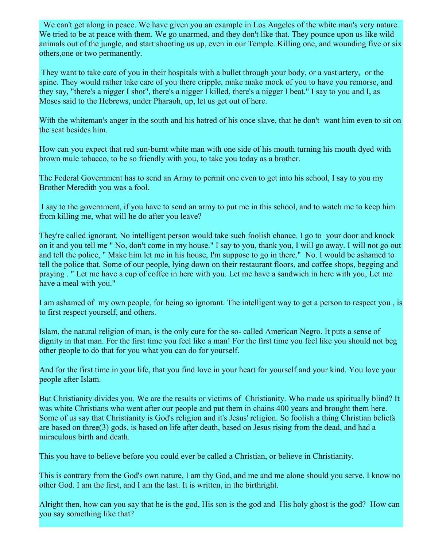We can't get along in peace. We have given you an example in Los Angeles of the white man's very nature. We tried to be at peace with them. We go unarmed, and they don't like that. They pounce upon us like wild animals out of the jungle, and start shooting us up, even in our Temple. Killing one, and wounding five or six others,one or two permanently.

 They want to take care of you in their hospitals with a bullet through your body, or a vast artery, or the spine. They would rather take care of you there cripple, make make mock of you to have you remorse, and they say, "there's a nigger I shot", there's a nigger I killed, there's a nigger I beat." I say to you and I, as Moses said to the Hebrews, under Pharaoh, up, let us get out of here.

With the whiteman's anger in the south and his hatred of his once slave, that he don't want him even to sit on the seat besides him.

How can you expect that red sun-burnt white man with one side of his mouth turning his mouth dyed with brown mule tobacco, to be so friendly with you, to take you today as a brother.

The Federal Government has to send an Army to permit one even to get into his school, I say to you my Brother Meredith you was a fool.

 I say to the government, if you have to send an army to put me in this school, and to watch me to keep him from killing me, what will he do after you leave?

They're called ignorant. No intelligent person would take such foolish chance. I go to your door and knock on it and you tell me " No, don't come in my house." I say to you, thank you, I will go away. I will not go out and tell the police, " Make him let me in his house, I'm suppose to go in there." No. I would be ashamed to tell the police that. Some of our people, lying down on their restaurant floors, and coffee shops, begging and praying . " Let me have a cup of coffee in here with you. Let me have a sandwich in here with you, Let me have a meal with you."

I am ashamed of my own people, for being so ignorant. The intelligent way to get a person to respect you , is to first respect yourself, and others.

Islam, the natural religion of man, is the only cure for the so- called American Negro. It puts a sense of dignity in that man. For the first time you feel like a man! For the first time you feel like you should not beg other people to do that for you what you can do for yourself.

And for the first time in your life, that you find love in your heart for yourself and your kind. You love your people after Islam.

But Christianity divides you. We are the results or victims of Christianity. Who made us spiritually blind? It was white Christians who went after our people and put them in chains 400 years and brought them here. Some of us say that Christianity is God's religion and it's Jesus' religion. So foolish a thing Christian beliefs are based on three(3) gods, is based on life after death, based on Jesus rising from the dead, and had a miraculous birth and death.

This you have to believe before you could ever be called a Christian, or believe in Christianity.

This is contrary from the God's own nature, I am thy God, and me and me alone should you serve. I know no other God. I am the first, and I am the last. It is written, in the birthright.

Alright then, how can you say that he is the god, His son is the god and His holy ghost is the god? How can you say something like that?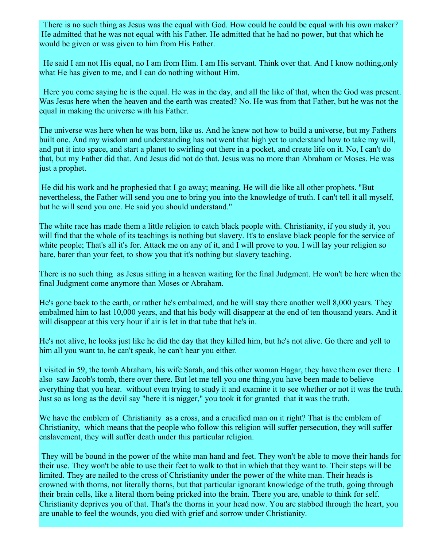There is no such thing as Jesus was the equal with God. How could he could be equal with his own maker? He admitted that he was not equal with his Father. He admitted that he had no power, but that which he would be given or was given to him from His Father.

 He said I am not His equal, no I am from Him. I am His servant. Think over that. And I know nothing,only what He has given to me, and I can do nothing without Him.

Here you come saying he is the equal. He was in the day, and all the like of that, when the God was present. Was Jesus here when the heaven and the earth was created? No. He was from that Father, but he was not the equal in making the universe with his Father.

The universe was here when he was born, like us. And he knew not how to build a universe, but my Fathers built one. And my wisdom and understanding has not went that high yet to understand how to take my will, and put it into space, and start a planet to swirling out there in a pocket, and create life on it. No, I can't do that, but my Father did that. And Jesus did not do that. Jesus was no more than Abraham or Moses. He was just a prophet.

 He did his work and he prophesied that I go away; meaning, He will die like all other prophets. "But nevertheless, the Father will send you one to bring you into the knowledge of truth. I can't tell it all myself, but he will send you one. He said you should understand."

The white race has made them a little religion to catch black people with. Christianity, if you study it, you will find that the whole of its teachings is nothing but slavery. It's to enslave black people for the service of white people; That's all it's for. Attack me on any of it, and I will prove to you. I will lay your religion so bare, barer than your feet, to show you that it's nothing but slavery teaching.

There is no such thing as Jesus sitting in a heaven waiting for the final Judgment. He won't be here when the final Judgment come anymore than Moses or Abraham.

He's gone back to the earth, or rather he's embalmed, and he will stay there another well 8,000 years. They embalmed him to last 10,000 years, and that his body will disappear at the end of ten thousand years. And it will disappear at this very hour if air is let in that tube that he's in.

He's not alive, he looks just like he did the day that they killed him, but he's not alive. Go there and yell to him all you want to, he can't speak, he can't hear you either.

I visited in 59, the tomb Abraham, his wife Sarah, and this other woman Hagar, they have them over there . I also saw Jacob's tomb, there over there. But let me tell you one thing,you have been made to believe everything that you hear. without even trying to study it and examine it to see whether or not it was the truth. Just so as long as the devil say "here it is nigger," you took it for granted that it was the truth.

We have the emblem of Christianity as a cross, and a crucified man on it right? That is the emblem of Christianity, which means that the people who follow this religion will suffer persecution, they will suffer enslavement, they will suffer death under this particular religion.

 They will be bound in the power of the white man hand and feet. They won't be able to move their hands for their use. They won't be able to use their feet to walk to that in which that they want to. Their steps will be limited. They are nailed to the cross of Christianity under the power of the white man. Their heads is crowned with thorns, not literally thorns, but that particular ignorant knowledge of the truth, going through their brain cells, like a literal thorn being pricked into the brain. There you are, unable to think for self. Christianity deprives you of that. That's the thorns in your head now. You are stabbed through the heart, you are unable to feel the wounds, you died with grief and sorrow under Christianity.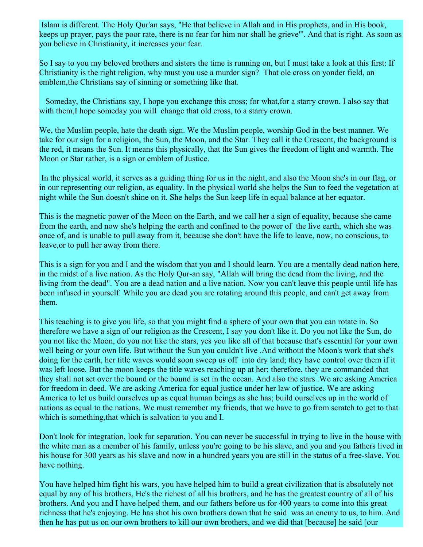Islam is different. The Holy Qur'an says, "He that believe in Allah and in His prophets, and in His book, keeps up prayer, pays the poor rate, there is no fear for him nor shall he grieve"'. And that is right. As soon as you believe in Christianity, it increases your fear.

So I say to you my beloved brothers and sisters the time is running on, but I must take a look at this first: If Christianity is the right religion, why must you use a murder sign? That ole cross on yonder field, an emblem,the Christians say of sinning or something like that.

 Someday, the Christians say, I hope you exchange this cross; for what,for a starry crown. I also say that with them, I hope someday you will change that old cross, to a starry crown.

We, the Muslim people, hate the death sign. We the Muslim people, worship God in the best manner. We take for our sign for a religion, the Sun, the Moon, and the Star. They call it the Crescent, the background is the red, it means the Sun. It means this physically, that the Sun gives the freedom of light and warmth. The Moon or Star rather, is a sign or emblem of Justice.

 In the physical world, it serves as a guiding thing for us in the night, and also the Moon she's in our flag, or in our representing our religion, as equality. In the physical world she helps the Sun to feed the vegetation at night while the Sun doesn't shine on it. She helps the Sun keep life in equal balance at her equator.

This is the magnetic power of the Moon on the Earth, and we call her a sign of equality, because she came from the earth, and now she's helping the earth and confined to the power of the live earth, which she was once of, and is unable to pull away from it, because she don't have the life to leave, now, no conscious, to leave,or to pull her away from there.

This is a sign for you and I and the wisdom that you and I should learn. You are a mentally dead nation here, in the midst of a live nation. As the Holy Qur-an say, "Allah will bring the dead from the living, and the living from the dead". You are a dead nation and a live nation. Now you can't leave this people until life has been infused in yourself. While you are dead you are rotating around this people, and can't get away from them.

This teaching is to give you life, so that you might find a sphere of your own that you can rotate in. So therefore we have a sign of our religion as the Crescent, I say you don't like it. Do you not like the Sun, do you not like the Moon, do you not like the stars, yes you like all of that because that's essential for your own well being or your own life. But without the Sun you couldn't live .And without the Moon's work that she's doing for the earth, her title waves would soon sweep us off into dry land; they have control over them if it was left loose. But the moon keeps the title waves reaching up at her; therefore, they are commanded that they shall not set over the bound or the bound is set in the ocean. And also the stars .We are asking America for freedom in deed. We are asking America for equal justice under her law of justice. We are asking America to let us build ourselves up as equal human beings as she has; build ourselves up in the world of nations as equal to the nations. We must remember my friends, that we have to go from scratch to get to that which is something, that which is salvation to you and I.

Don't look for integration, look for separation. You can never be successful in trying to live in the house with the white man as a member of his family, unless you're going to be his slave, and you and you fathers lived in his house for 300 years as his slave and now in a hundred years you are still in the status of a free-slave. You have nothing.

You have helped him fight his wars, you have helped him to build a great civilization that is absolutely not equal by any of his brothers, He's the richest of all his brothers, and he has the greatest country of all of his brothers. And you and I have helped them, and our fathers before us for 400 years to come into this great richness that he's enjoying. He has shot his own brothers down that he said was an enemy to us, to him. And then he has put us on our own brothers to kill our own brothers, and we did that [because] he said [our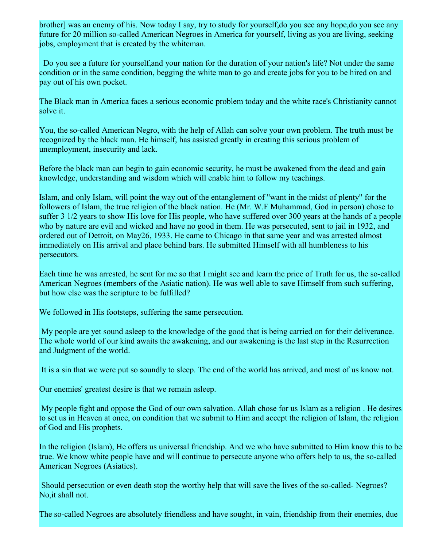brother] was an enemy of his. Now today I say, try to study for yourself,do you see any hope,do you see any future for 20 million so-called American Negroes in America for yourself, living as you are living, seeking jobs, employment that is created by the whiteman.

 Do you see a future for yourself,and your nation for the duration of your nation's life? Not under the same condition or in the same condition, begging the white man to go and create jobs for you to be hired on and pay out of his own pocket.

The Black man in America faces a serious economic problem today and the white race's Christianity cannot solve it.

You, the so-called American Negro, with the help of Allah can solve your own problem. The truth must be recognized by the black man. He himself, has assisted greatly in creating this serious problem of unemployment, insecurity and lack.

Before the black man can begin to gain economic security, he must be awakened from the dead and gain knowledge, understanding and wisdom which will enable him to follow my teachings.

Islam, and only Islam, will point the way out of the entanglement of "want in the midst of plenty" for the followers of Islam, the true religion of the black nation. He (Mr. W.F Muhammad, God in person) chose to suffer 3 1/2 years to show His love for His people, who have suffered over 300 years at the hands of a people who by nature are evil and wicked and have no good in them. He was persecuted, sent to jail in 1932, and ordered out of Detroit, on May26, 1933. He came to Chicago in that same year and was arrested almost immediately on His arrival and place behind bars. He submitted Himself with all humbleness to his persecutors.

Each time he was arrested, he sent for me so that I might see and learn the price of Truth for us, the so-called American Negroes (members of the Asiatic nation). He was well able to save Himself from such suffering, but how else was the scripture to be fulfilled?

We followed in His footsteps, suffering the same persecution.

 My people are yet sound asleep to the knowledge of the good that is being carried on for their deliverance. The whole world of our kind awaits the awakening, and our awakening is the last step in the Resurrection and Judgment of the world.

It is a sin that we were put so soundly to sleep. The end of the world has arrived, and most of us know not.

Our enemies' greatest desire is that we remain asleep.

My people fight and oppose the God of our own salvation. Allah chose for us Islam as a religion . He desires to set us in Heaven at once, on condition that we submit to Him and accept the religion of Islam, the religion of God and His prophets.

In the religion (Islam), He offers us universal friendship. And we who have submitted to Him know this to be true. We know white people have and will continue to persecute anyone who offers help to us, the so-called American Negroes (Asiatics).

 Should persecution or even death stop the worthy help that will save the lives of the so-called- Negroes? No,it shall not.

The so-called Negroes are absolutely friendless and have sought, in vain, friendship from their enemies, due